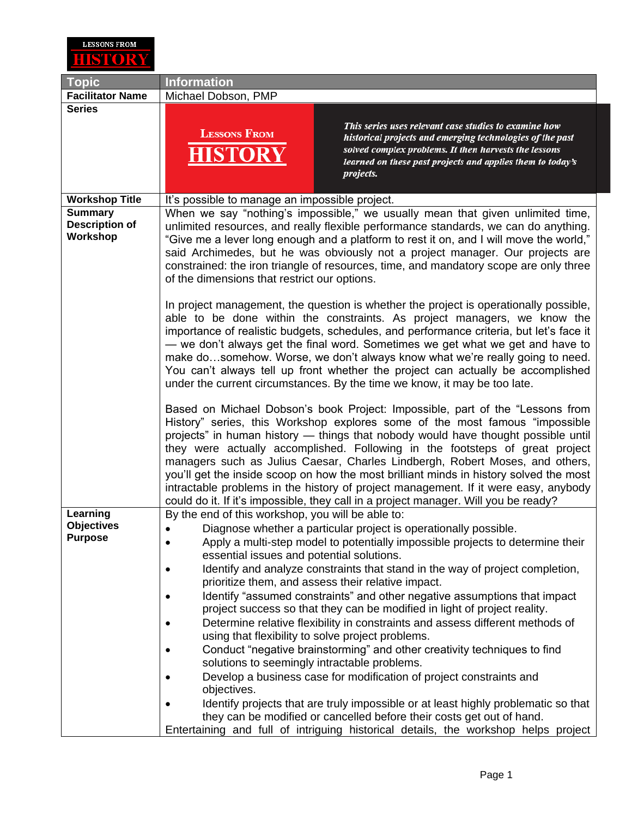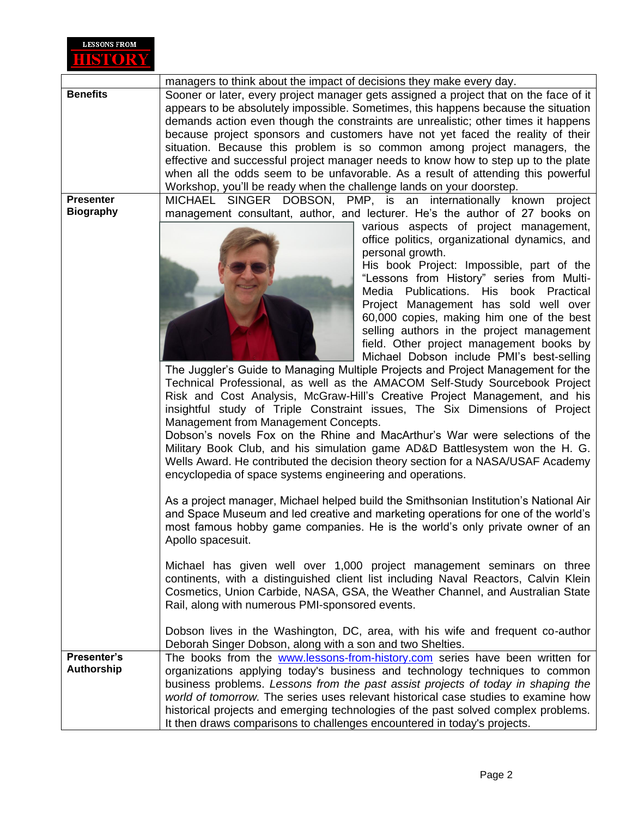

|                  | managers to think about the impact of decisions they make every day.                                                                                       |
|------------------|------------------------------------------------------------------------------------------------------------------------------------------------------------|
| <b>Benefits</b>  | Sooner or later, every project manager gets assigned a project that on the face of it                                                                      |
|                  | appears to be absolutely impossible. Sometimes, this happens because the situation                                                                         |
|                  | demands action even though the constraints are unrealistic; other times it happens                                                                         |
|                  | because project sponsors and customers have not yet faced the reality of their                                                                             |
|                  | situation. Because this problem is so common among project managers, the                                                                                   |
|                  | effective and successful project manager needs to know how to step up to the plate                                                                         |
|                  | when all the odds seem to be unfavorable. As a result of attending this powerful                                                                           |
|                  | Workshop, you'll be ready when the challenge lands on your doorstep.                                                                                       |
| <b>Presenter</b> | MICHAEL SINGER DOBSON, PMP, is an internationally known project                                                                                            |
| <b>Biography</b> | management consultant, author, and lecturer. He's the author of 27 books on                                                                                |
|                  | various aspects of project management,                                                                                                                     |
|                  | office politics, organizational dynamics, and                                                                                                              |
|                  | personal growth.                                                                                                                                           |
|                  | His book Project: Impossible, part of the                                                                                                                  |
|                  | "Lessons from History" series from Multi-                                                                                                                  |
|                  | Media Publications. His book Practical                                                                                                                     |
|                  | Project Management has sold well over                                                                                                                      |
|                  | 60,000 copies, making him one of the best                                                                                                                  |
|                  | selling authors in the project management                                                                                                                  |
|                  | field. Other project management books by                                                                                                                   |
|                  | Michael Dobson include PMI's best-selling                                                                                                                  |
|                  | The Juggler's Guide to Managing Multiple Projects and Project Management for the                                                                           |
|                  | Technical Professional, as well as the AMACOM Self-Study Sourcebook Project                                                                                |
|                  | Risk and Cost Analysis, McGraw-Hill's Creative Project Management, and his                                                                                 |
|                  | insightful study of Triple Constraint issues, The Six Dimensions of Project                                                                                |
|                  | Management from Management Concepts.                                                                                                                       |
|                  | Dobson's novels Fox on the Rhine and MacArthur's War were selections of the<br>Military Book Club, and his simulation game AD&D Battlesystem won the H. G. |
|                  | Wells Award. He contributed the decision theory section for a NASA/USAF Academy                                                                            |
|                  | encyclopedia of space systems engineering and operations.                                                                                                  |
|                  |                                                                                                                                                            |
|                  | As a project manager, Michael helped build the Smithsonian Institution's National Air                                                                      |
|                  | and Space Museum and led creative and marketing operations for one of the world's                                                                          |
|                  | most famous hobby game companies. He is the world's only private owner of an                                                                               |
|                  | Apollo spacesuit.                                                                                                                                          |
|                  | Michael has given well over 1,000 project management seminars on three                                                                                     |
|                  | continents, with a distinguished client list including Naval Reactors, Calvin Klein                                                                        |
|                  | Cosmetics, Union Carbide, NASA, GSA, the Weather Channel, and Australian State                                                                             |
|                  | Rail, along with numerous PMI-sponsored events.                                                                                                            |
|                  |                                                                                                                                                            |
|                  | Dobson lives in the Washington, DC, area, with his wife and frequent co-author                                                                             |
|                  | Deborah Singer Dobson, along with a son and two Shelties.                                                                                                  |
| Presenter's      | The books from the www.lessons-from-history.com series have been written for                                                                               |
| Authorship       | organizations applying today's business and technology techniques to common                                                                                |
|                  | business problems. Lessons from the past assist projects of today in shaping the                                                                           |
|                  | world of tomorrow. The series uses relevant historical case studies to examine how                                                                         |
|                  | historical projects and emerging technologies of the past solved complex problems.                                                                         |
|                  | It then draws comparisons to challenges encountered in today's projects.                                                                                   |